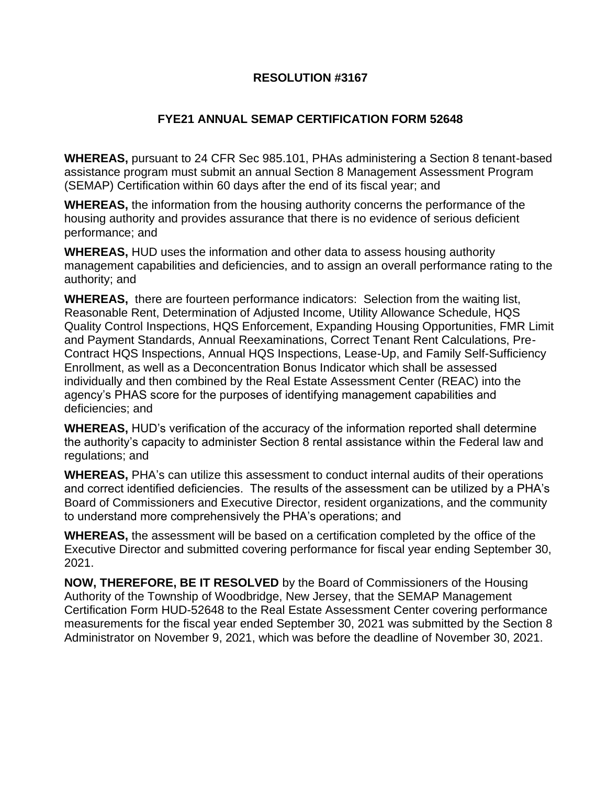## **RESOLUTION #3167**

## **FYE21 ANNUAL SEMAP CERTIFICATION FORM 52648**

**WHEREAS,** pursuant to 24 CFR Sec 985.101, PHAs administering a Section 8 tenant-based assistance program must submit an annual Section 8 Management Assessment Program (SEMAP) Certification within 60 days after the end of its fiscal year; and

**WHEREAS,** the information from the housing authority concerns the performance of the housing authority and provides assurance that there is no evidence of serious deficient performance; and

**WHEREAS,** HUD uses the information and other data to assess housing authority management capabilities and deficiencies, and to assign an overall performance rating to the authority; and

**WHEREAS,** there are fourteen performance indicators: Selection from the waiting list, Reasonable Rent, Determination of Adjusted Income, Utility Allowance Schedule, HQS Quality Control Inspections, HQS Enforcement, Expanding Housing Opportunities, FMR Limit and Payment Standards, Annual Reexaminations, Correct Tenant Rent Calculations, Pre-Contract HQS Inspections, Annual HQS Inspections, Lease-Up, and Family Self-Sufficiency Enrollment, as well as a Deconcentration Bonus Indicator which shall be assessed individually and then combined by the Real Estate Assessment Center (REAC) into the agency's PHAS score for the purposes of identifying management capabilities and deficiencies; and

**WHEREAS,** HUD's verification of the accuracy of the information reported shall determine the authority's capacity to administer Section 8 rental assistance within the Federal law and regulations; and

**WHEREAS,** PHA's can utilize this assessment to conduct internal audits of their operations and correct identified deficiencies. The results of the assessment can be utilized by a PHA's Board of Commissioners and Executive Director, resident organizations, and the community to understand more comprehensively the PHA's operations; and

**WHEREAS,** the assessment will be based on a certification completed by the office of the Executive Director and submitted covering performance for fiscal year ending September 30, 2021.

**NOW, THEREFORE, BE IT RESOLVED** by the Board of Commissioners of the Housing Authority of the Township of Woodbridge, New Jersey, that the SEMAP Management Certification Form HUD-52648 to the Real Estate Assessment Center covering performance measurements for the fiscal year ended September 30, 2021 was submitted by the Section 8 Administrator on November 9, 2021, which was before the deadline of November 30, 2021.